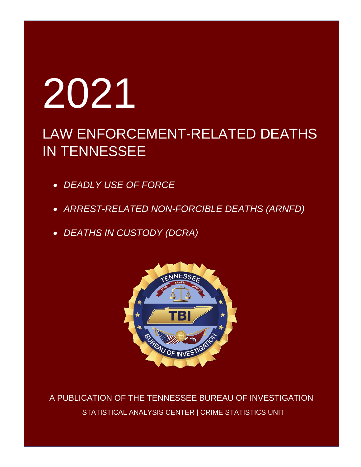# 2021

# LAW ENFORCEMENT-RELATED DEATHS IN TENNESSEE

- *DEADLY USE OF FORCE*
- *ARREST-RELATED NON-FORCIBLE DEATHS (ARNFD)*
- *DEATHS IN CUSTODY (DCRA)*



 A PUBLICATION OF THE TENNESSEE BUREAU OF INVESTIGATION STATISTICAL ANALYSIS CENTER | CRIME STATISTICS UNIT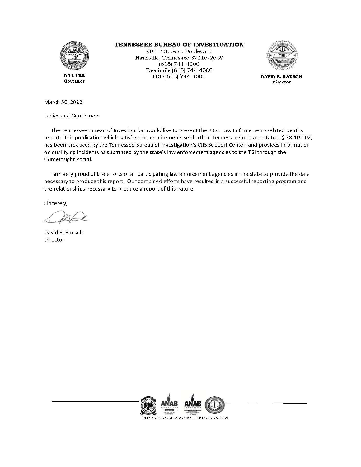

Governor

TENNESSEE BUREAU OF INVESTIGATION

901 R.S. Gass Boulevard Nashville, Tennessee 37216-2639 (615) 744-4000 Facsimile (615) 744-4500 TDD (615) 744-4001



DAVID B. RAUSCH **Director** 

March 30, 2022

Ladies and Gentlemen:

The Tennessee Bureau of Investigation would like to present the 2021 Law Enforcement-Related Deaths report. This publication which satisfies the requirements set forth in Tennessee Code Annotated, § 38-10-102, has been produced by the Tennessee Bureau of Investigation's CJIS Support Center, and provides information on qualifying incidents as submitted by the state's law enforcement agencies to the TBI through the CrimeInsight Portal.

I am very proud of the efforts of all participating law enforcement agencies in the state to provide the data necessary to produce this report. Our combined efforts have resulted in a successful reporting program and the relationships necessary to produce a report of this nature.

Sincerely,

David B. Rausch Director

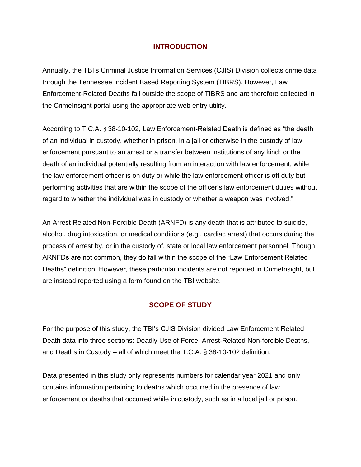#### **INTRODUCTION**

Annually, the TBI's Criminal Justice Information Services (CJIS) Division collects crime data through the Tennessee Incident Based Reporting System (TIBRS). However, Law Enforcement-Related Deaths fall outside the scope of TIBRS and are therefore collected in the CrimeInsight portal using the appropriate web entry utility.

According to T.C.A. § 38-10-102, Law Enforcement-Related Death is defined as "the death of an individual in custody, whether in prison, in a jail or otherwise in the custody of law enforcement pursuant to an arrest or a transfer between institutions of any kind; or the death of an individual potentially resulting from an interaction with law enforcement, while the law enforcement officer is on duty or while the law enforcement officer is off duty but performing activities that are within the scope of the officer's law enforcement duties without regard to whether the individual was in custody or whether a weapon was involved."

An Arrest Related Non-Forcible Death (ARNFD) is any death that is attributed to suicide, alcohol, drug intoxication, or medical conditions (e.g., cardiac arrest) that occurs during the process of arrest by, or in the custody of, state or local law enforcement personnel. Though ARNFDs are not common, they do fall within the scope of the "Law Enforcement Related Deaths" definition. However, these particular incidents are not reported in CrimeInsight, but are instead reported using a form found on the TBI website.

## **SCOPE OF STUDY**

For the purpose of this study, the TBI's CJIS Division divided Law Enforcement Related Death data into three sections: Deadly Use of Force, Arrest-Related Non-forcible Deaths, and Deaths in Custody – all of which meet the T.C.A. § 38-10-102 definition.

Data presented in this study only represents numbers for calendar year 2021 and only contains information pertaining to deaths which occurred in the presence of law enforcement or deaths that occurred while in custody, such as in a local jail or prison.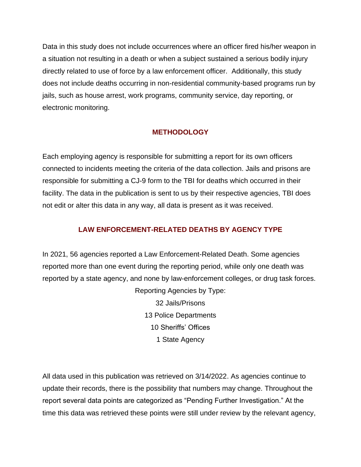Data in this study does not include occurrences where an officer fired his/her weapon in a situation not resulting in a death or when a subject sustained a serious bodily injury directly related to use of force by a law enforcement officer. Additionally, this study does not include deaths occurring in non-residential community-based programs run by jails, such as house arrest, work programs, community service, day reporting, or electronic monitoring.

## **METHODOLOGY**

Each employing agency is responsible for submitting a report for its own officers connected to incidents meeting the criteria of the data collection. Jails and prisons are responsible for submitting a CJ-9 form to the TBI for deaths which occurred in their facility. The data in the publication is sent to us by their respective agencies, TBI does not edit or alter this data in any way, all data is present as it was received.

# **LAW ENFORCEMENT-RELATED DEATHS BY AGENCY TYPE**

In 2021, 56 agencies reported a Law Enforcement-Related Death. Some agencies reported more than one event during the reporting period, while only one death was reported by a state agency, and none by law-enforcement colleges, or drug task forces.

> Reporting Agencies by Type: 32 Jails/Prisons 13 Police Departments 10 Sheriffs' Offices 1 State Agency

All data used in this publication was retrieved on 3/14/2022. As agencies continue to update their records, there is the possibility that numbers may change. Throughout the report several data points are categorized as "Pending Further Investigation." At the time this data was retrieved these points were still under review by the relevant agency,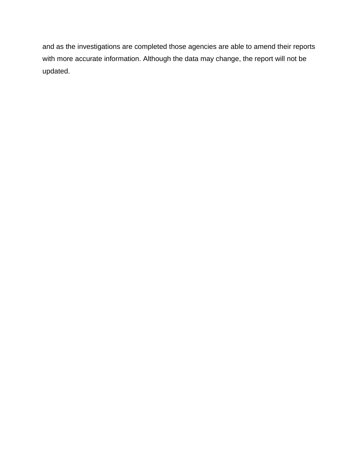and as the investigations are completed those agencies are able to amend their reports with more accurate information. Although the data may change, the report will not be updated.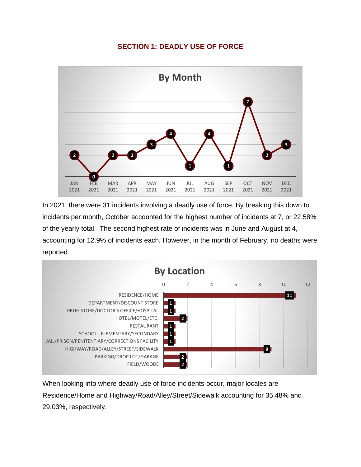#### **SECTION 1: DEADLY USE OF FORCE**



In 2021, there were 31 incidents involving a deadly use of force. By breaking this down to incidents per month, October accounted for the highest number of incidents at 7, or 22.58% of the yearly total. The second highest rate of incidents was in June and August at 4, accounting for 12.9% of incidents each. However, in the month of February, no deaths were reported.



When looking into where deadly use of force incidents occur, major locales are Residence/Home and Highway/Road/Alley/Street/Sidewalk accounting for 35.48% and 29.03%, respectively.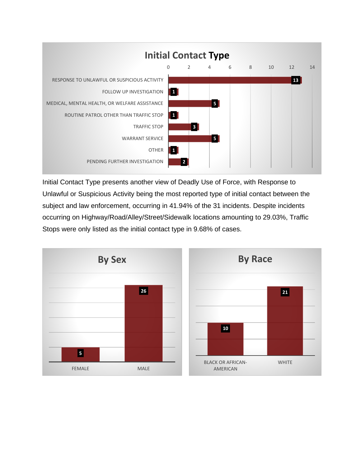

Initial Contact Type presents another view of Deadly Use of Force, with Response to Unlawful or Suspicious Activity being the most reported type of initial contact between the subject and law enforcement, occurring in 41.94% of the 31 incidents. Despite incidents occurring on Highway/Road/Alley/Street/Sidewalk locations amounting to 29.03%, Traffic Stops were only listed as the initial contact type in 9.68% of cases.

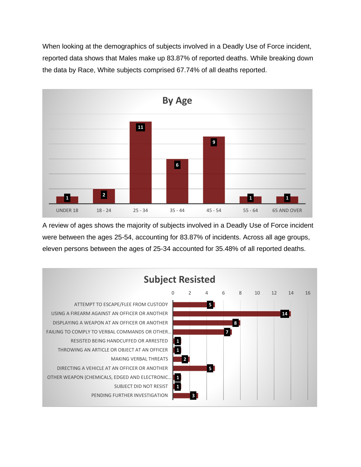When looking at the demographics of subjects involved in a Deadly Use of Force incident, reported data shows that Males make up 83.87% of reported deaths. While breaking down the data by Race, White subjects comprised 67.74% of all deaths reported.



A review of ages shows the majority of subjects involved in a Deadly Use of Force incident were between the ages 25-54, accounting for 83.87% of incidents. Across all age groups, eleven persons between the ages of 25-34 accounted for 35.48% of all reported deaths.

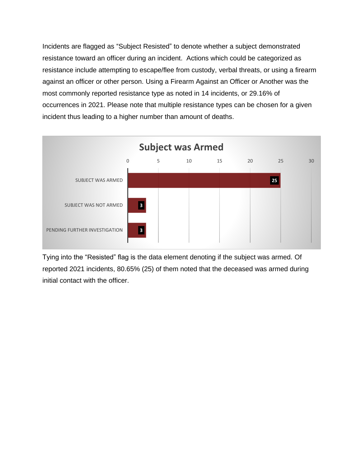Incidents are flagged as "Subject Resisted" to denote whether a subject demonstrated resistance toward an officer during an incident. Actions which could be categorized as resistance include attempting to escape/flee from custody, verbal threats, or using a firearm against an officer or other person. Using a Firearm Against an Officer or Another was the most commonly reported resistance type as noted in 14 incidents, or 29.16% of occurrences in 2021. Please note that multiple resistance types can be chosen for a given incident thus leading to a higher number than amount of deaths.



Tying into the "Resisted" flag is the data element denoting if the subject was armed. Of reported 2021 incidents, 80.65% (25) of them noted that the deceased was armed during initial contact with the officer.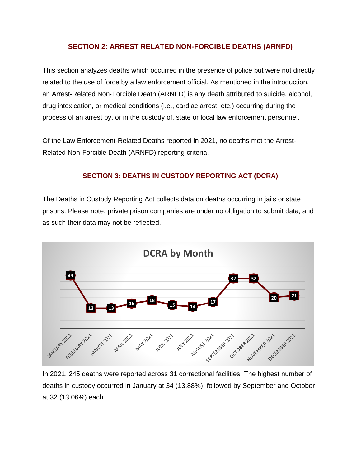#### **SECTION 2: ARREST RELATED NON-FORCIBLE DEATHS (ARNFD)**

This section analyzes deaths which occurred in the presence of police but were not directly related to the use of force by a law enforcement official. As mentioned in the introduction, an Arrest‐Related Non‐Forcible Death (ARNFD) is any death attributed to suicide, alcohol, drug intoxication, or medical conditions (i.e., cardiac arrest, etc.) occurring during the process of an arrest by, or in the custody of, state or local law enforcement personnel.

Of the Law Enforcement-Related Deaths reported in 2021, no deaths met the Arrest-Related Non-Forcible Death (ARNFD) reporting criteria.

## **SECTION 3: DEATHS IN CUSTODY REPORTING ACT (DCRA)**

The Deaths in Custody Reporting Act collects data on deaths occurring in jails or state prisons. Please note, private prison companies are under no obligation to submit data, and as such their data may not be reflected.



In 2021, 245 deaths were reported across 31 correctional facilities. The highest number of deaths in custody occurred in January at 34 (13.88%), followed by September and October at 32 (13.06%) each.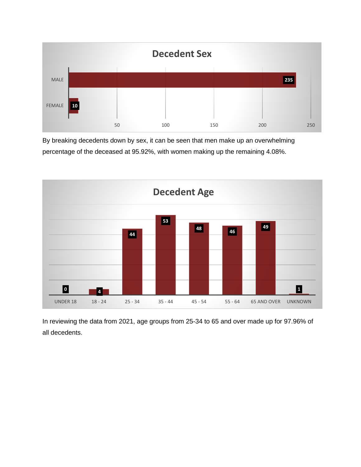

By breaking decedents down by sex, it can be seen that men make up an overwhelming percentage of the deceased at 95.92%, with women making up the remaining 4.08%.



In reviewing the data from 2021, age groups from 25-34 to 65 and over made up for 97.96% of all decedents.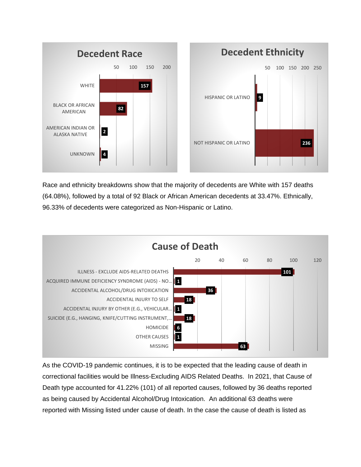

Race and ethnicity breakdowns show that the majority of decedents are White with 157 deaths (64.08%), followed by a total of 92 Black or African American decedents at 33.47%. Ethnically, 96.33% of decedents were categorized as Non-Hispanic or Latino.



As the COVID-19 pandemic continues, it is to be expected that the leading cause of death in correctional facilities would be Illness-Excluding AIDS Related Deaths. In 2021, that Cause of Death type accounted for 41.22% (101) of all reported causes, followed by 36 deaths reported as being caused by Accidental Alcohol/Drug Intoxication. An additional 63 deaths were reported with Missing listed under cause of death. In the case the cause of death is listed as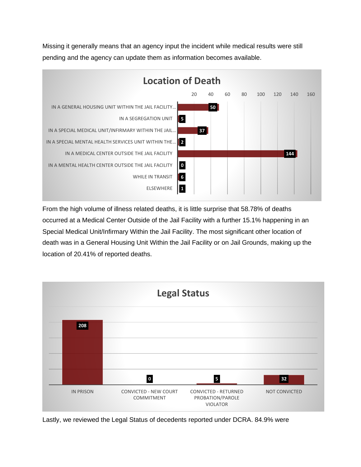Missing it generally means that an agency input the incident while medical results were still pending and the agency can update them as information becomes available.



From the high volume of illness related deaths, it is little surprise that 58.78% of deaths occurred at a Medical Center Outside of the Jail Facility with a further 15.1% happening in an Special Medical Unit/Infirmary Within the Jail Facility. The most significant other location of death was in a General Housing Unit Within the Jail Facility or on Jail Grounds, making up the location of 20.41% of reported deaths.



Lastly, we reviewed the Legal Status of decedents reported under DCRA. 84.9% were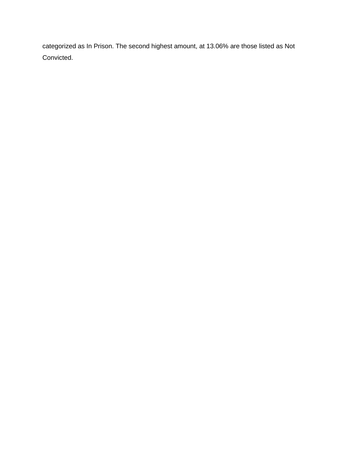categorized as In Prison. The second highest amount, at 13.06% are those listed as Not Convicted.